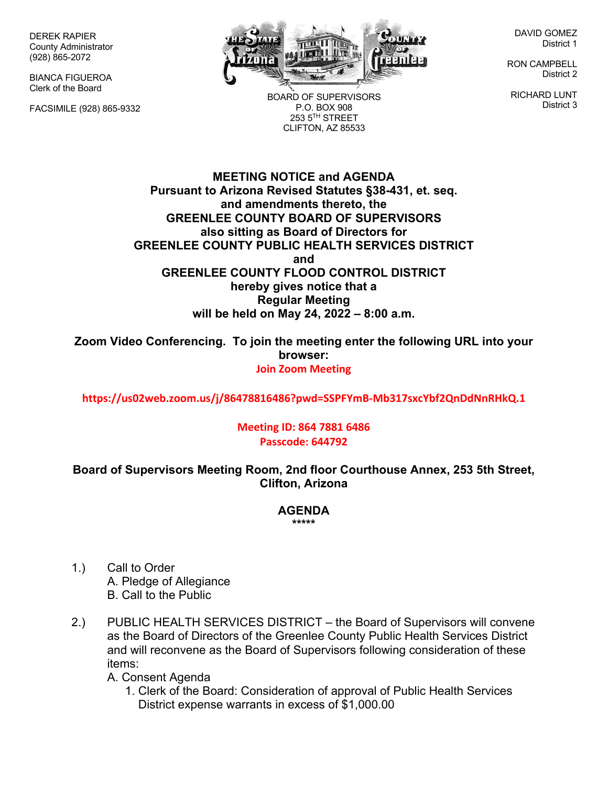DEREK RAPIER County Administrator (928) 865-2072

BIANCA FIGUEROA Clerk of the Board

FACSIMILE (928) 865-9332



BOARD OF SUPERVISORS P.O. BOX 908  $253.5$ <sup>TH</sup> STREET CLIFTON, AZ 85533

DAVID GOMEZ District 1

RON CAMPBELL District 2

RICHARD LUNT District 3

**MEETING NOTICE and AGENDA Pursuant to Arizona Revised Statutes §38-431, et. seq. and amendments thereto, the GREENLEE COUNTY BOARD OF SUPERVISORS also sitting as Board of Directors for GREENLEE COUNTY PUBLIC HEALTH SERVICES DISTRICT and GREENLEE COUNTY FLOOD CONTROL DISTRICT hereby gives notice that a Regular Meeting will be held on May 24, 2022 – 8:00 a.m.**

**Zoom Video Conferencing. To join the meeting enter the following URL into your browser: Join Zoom Meeting**

**https://us02web.zoom.us/j/86478816486?pwd=SSPFYmB-Mb317sxcYbf2QnDdNnRHkQ.1**

## **Meeting ID: 864 7881 6486 Passcode: 644792**

**Board of Supervisors Meeting Room, 2nd floor Courthouse Annex, 253 5th Street, Clifton, Arizona**

## **AGENDA \*\*\*\*\***

- 1.) Call to Order A. Pledge of Allegiance B. Call to the Public
- 2.) PUBLIC HEALTH SERVICES DISTRICT the Board of Supervisors will convene as the Board of Directors of the Greenlee County Public Health Services District and will reconvene as the Board of Supervisors following consideration of these items:

A. Consent Agenda

1. Clerk of the Board: Consideration of approval of Public Health Services District expense warrants in excess of \$1,000.00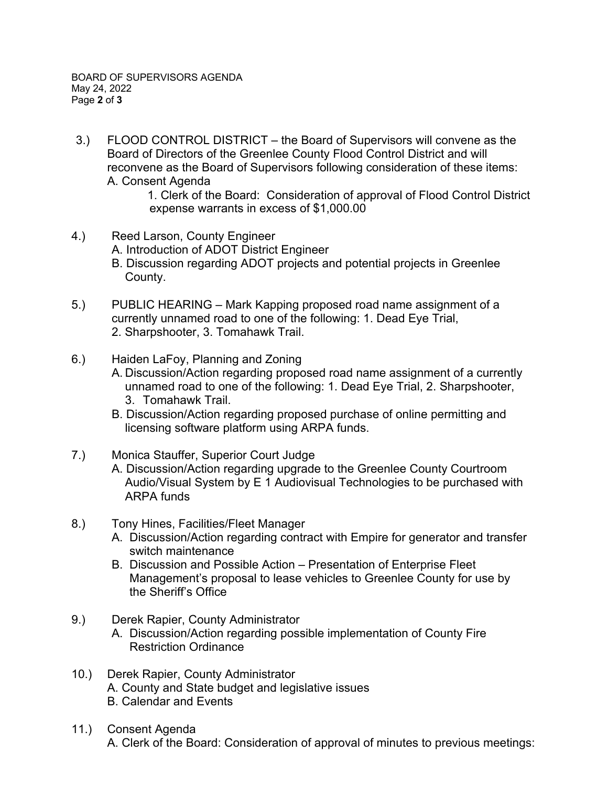3.) FLOOD CONTROL DISTRICT – the Board of Supervisors will convene as the Board of Directors of the Greenlee County Flood Control District and will reconvene as the Board of Supervisors following consideration of these items: A. Consent Agenda

1. Clerk of the Board: Consideration of approval of Flood Control District expense warrants in excess of \$1,000.00

- 4.) Reed Larson, County Engineer A. Introduction of ADOT District Engineer B. Discussion regarding ADOT projects and potential projects in Greenlee County.
- 5.) PUBLIC HEARING Mark Kapping proposed road name assignment of a currently unnamed road to one of the following: 1. Dead Eye Trial, 2. Sharpshooter, 3. Tomahawk Trail.
- 6.) Haiden LaFoy, Planning and Zoning
	- A. Discussion/Action regarding proposed road name assignment of a currently unnamed road to one of the following: 1. Dead Eye Trial, 2. Sharpshooter, 3. Tomahawk Trail.
	- B. Discussion/Action regarding proposed purchase of online permitting and licensing software platform using ARPA funds.
- 7.) Monica Stauffer, Superior Court Judge A. Discussion/Action regarding upgrade to the Greenlee County Courtroom Audio/Visual System by E 1 Audiovisual Technologies to be purchased with ARPA funds
- 8.) Tony Hines, Facilities/Fleet Manager
	- A. Discussion/Action regarding contract with Empire for generator and transfer switch maintenance
	- B. Discussion and Possible Action Presentation of Enterprise Fleet Management's proposal to lease vehicles to Greenlee County for use by the Sheriff's Office
- 9.) Derek Rapier, County Administrator A. Discussion/Action regarding possible implementation of County Fire Restriction Ordinance
- 10.) Derek Rapier, County Administrator A. County and State budget and legislative issues B. Calendar and Events
- 11.) Consent Agenda A. Clerk of the Board: Consideration of approval of minutes to previous meetings: